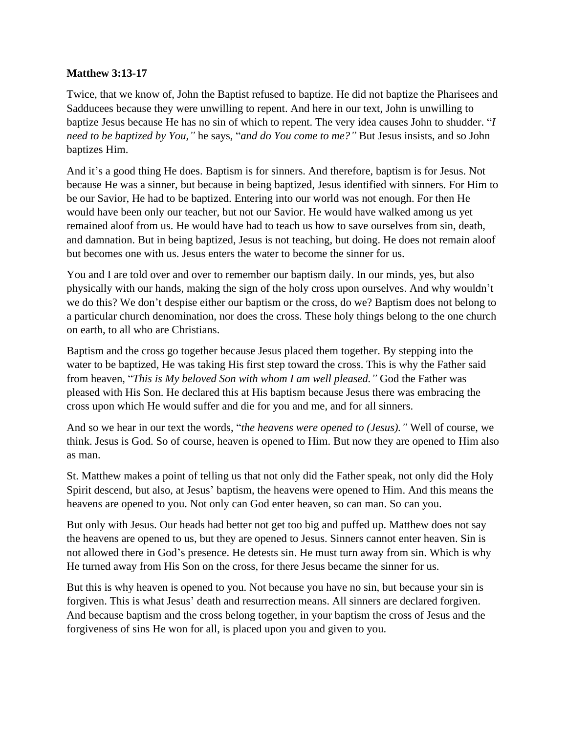## **Matthew 3:13-17**

Twice, that we know of, John the Baptist refused to baptize. He did not baptize the Pharisees and Sadducees because they were unwilling to repent. And here in our text, John is unwilling to baptize Jesus because He has no sin of which to repent. The very idea causes John to shudder. "*I need to be baptized by You,"* he says, "*and do You come to me?"* But Jesus insists, and so John baptizes Him.

And it's a good thing He does. Baptism is for sinners. And therefore, baptism is for Jesus. Not because He was a sinner, but because in being baptized, Jesus identified with sinners. For Him to be our Savior, He had to be baptized. Entering into our world was not enough. For then He would have been only our teacher, but not our Savior. He would have walked among us yet remained aloof from us. He would have had to teach us how to save ourselves from sin, death, and damnation. But in being baptized, Jesus is not teaching, but doing. He does not remain aloof but becomes one with us. Jesus enters the water to become the sinner for us.

You and I are told over and over to remember our baptism daily. In our minds, yes, but also physically with our hands, making the sign of the holy cross upon ourselves. And why wouldn't we do this? We don't despise either our baptism or the cross, do we? Baptism does not belong to a particular church denomination, nor does the cross. These holy things belong to the one church on earth, to all who are Christians.

Baptism and the cross go together because Jesus placed them together. By stepping into the water to be baptized, He was taking His first step toward the cross. This is why the Father said from heaven, "*This is My beloved Son with whom I am well pleased."* God the Father was pleased with His Son. He declared this at His baptism because Jesus there was embracing the cross upon which He would suffer and die for you and me, and for all sinners.

And so we hear in our text the words, "*the heavens were opened to (Jesus)."* Well of course, we think. Jesus is God. So of course, heaven is opened to Him. But now they are opened to Him also as man.

St. Matthew makes a point of telling us that not only did the Father speak, not only did the Holy Spirit descend, but also, at Jesus' baptism, the heavens were opened to Him. And this means the heavens are opened to you. Not only can God enter heaven, so can man. So can you.

But only with Jesus. Our heads had better not get too big and puffed up. Matthew does not say the heavens are opened to us, but they are opened to Jesus. Sinners cannot enter heaven. Sin is not allowed there in God's presence. He detests sin. He must turn away from sin. Which is why He turned away from His Son on the cross, for there Jesus became the sinner for us.

But this is why heaven is opened to you. Not because you have no sin, but because your sin is forgiven. This is what Jesus' death and resurrection means. All sinners are declared forgiven. And because baptism and the cross belong together, in your baptism the cross of Jesus and the forgiveness of sins He won for all, is placed upon you and given to you.